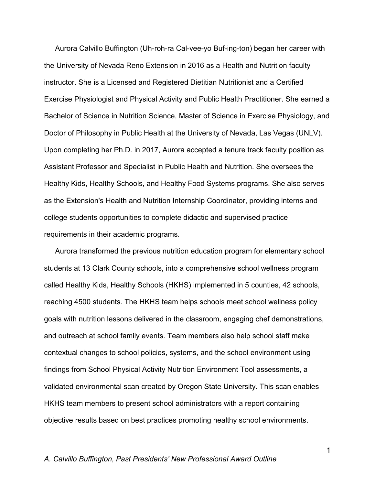Aurora Calvillo Buffington (Uh-roh-ra Cal-vee-yo Buf-ing-ton) began her career with the University of Nevada Reno Extension in 2016 as a Health and Nutrition faculty instructor. She is a Licensed and Registered Dietitian Nutritionist and a Certified Exercise Physiologist and Physical Activity and Public Health Practitioner. She earned a Bachelor of Science in Nutrition Science, Master of Science in Exercise Physiology, and Doctor of Philosophy in Public Health at the University of Nevada, Las Vegas (UNLV). Upon completing her Ph.D. in 2017, Aurora accepted a tenure track faculty position as Assistant Professor and Specialist in Public Health and Nutrition. She oversees the Healthy Kids, Healthy Schools, and Healthy Food Systems programs. She also serves as the Extension's Health and Nutrition Internship Coordinator, providing interns and college students opportunities to complete didactic and supervised practice requirements in their academic programs.

Aurora transformed the previous nutrition education program for elementary school students at 13 Clark County schools, into a comprehensive school wellness program called Healthy Kids, Healthy Schools (HKHS) implemented in 5 counties, 42 schools, reaching 4500 students. The HKHS team helps schools meet school wellness policy goals with nutrition lessons delivered in the classroom, engaging chef demonstrations, and outreach at school family events. Team members also help school staff make contextual changes to school policies, systems, and the school environment using findings from School Physical Activity Nutrition Environment Tool assessments, a validated environmental scan created by Oregon State University. This scan enables HKHS team members to present school administrators with a report containing objective results based on best practices promoting healthy school environments.

#### *A. Calvillo Buffington, Past Presidents' New Professional Award Outline*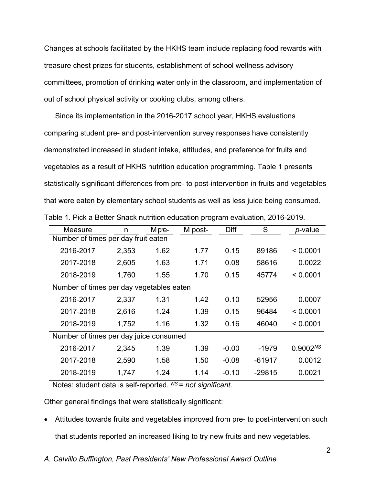Changes at schools facilitated by the HKHS team include replacing food rewards with treasure chest prizes for students, establishment of school wellness advisory committees, promotion of drinking water only in the classroom, and implementation of out of school physical activity or cooking clubs, among others.

Since its implementation in the 2016-2017 school year, HKHS evaluations comparing student pre- and post-intervention survey responses have consistently demonstrated increased in student intake, attitudes, and preference for fruits and vegetables as a result of HKHS nutrition education programming. Table 1 presents statistically significant differences from pre- to post-intervention in fruits and vegetables that were eaten by elementary school students as well as less juice being consumed. Table 1. Pick a Better Snack nutrition education program evaluation, 2016-2019.

| n                                        | M pre- | M post- | <b>Diff</b> | S        | <i>p</i> -value      |
|------------------------------------------|--------|---------|-------------|----------|----------------------|
| Number of times per day fruit eaten      |        |         |             |          |                      |
| 2,353                                    | 1.62   | 1.77    | 0.15        | 89186    | < 0.0001             |
| 2,605                                    | 1.63   | 1.71    | 0.08        | 58616    | 0.0022               |
| 1,760                                    | 1.55   | 1.70    | 0.15        | 45774    | < 0.0001             |
| Number of times per day vegetables eaten |        |         |             |          |                      |
| 2,337                                    | 1.31   | 1.42    | 0.10        | 52956    | 0.0007               |
| 2,616                                    | 1.24   | 1.39    | 0.15        | 96484    | < 0.0001             |
| 1,752                                    | 1.16   | 1.32    | 0.16        | 46040    | < 0.0001             |
| Number of times per day juice consumed   |        |         |             |          |                      |
| 2,345                                    | 1.39   | 1.39    | $-0.00$     | $-1979$  | 0.9002 <sup>NS</sup> |
| 2,590                                    | 1.58   | 1.50    | $-0.08$     | $-61917$ | 0.0012               |
| 1,747                                    | 1.24   | 1.14    | $-0.10$     | $-29815$ | 0.0021               |
|                                          |        |         |             |          |                      |

Notes: student data is self-reported. *NS* = *not significant*.

Other general findings that were statistically significant:

- Attitudes towards fruits and vegetables improved from pre- to post-intervention such that students reported an increased liking to try new fruits and new vegetables.
- *A. Calvillo Buffington, Past Presidents' New Professional Award Outline*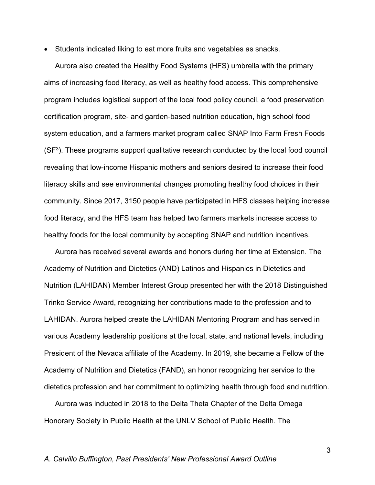• Students indicated liking to eat more fruits and vegetables as snacks.

Aurora also created the Healthy Food Systems (HFS) umbrella with the primary aims of increasing food literacy, as well as healthy food access. This comprehensive program includes logistical support of the local food policy council, a food preservation certification program, site- and garden-based nutrition education, high school food system education, and a farmers market program called SNAP Into Farm Fresh Foods  $(SF<sup>3</sup>)$ . These programs support qualitative research conducted by the local food council revealing that low-income Hispanic mothers and seniors desired to increase their food literacy skills and see environmental changes promoting healthy food choices in their community. Since 2017, 3150 people have participated in HFS classes helping increase food literacy, and the HFS team has helped two farmers markets increase access to healthy foods for the local community by accepting SNAP and nutrition incentives.

Aurora has received several awards and honors during her time at Extension. The Academy of Nutrition and Dietetics (AND) Latinos and Hispanics in Dietetics and Nutrition (LAHIDAN) Member Interest Group presented her with the 2018 Distinguished Trinko Service Award, recognizing her contributions made to the profession and to LAHIDAN. Aurora helped create the LAHIDAN Mentoring Program and has served in various Academy leadership positions at the local, state, and national levels, including President of the Nevada affiliate of the Academy. In 2019, she became a Fellow of the Academy of Nutrition and Dietetics (FAND), an honor recognizing her service to the dietetics profession and her commitment to optimizing health through food and nutrition.

Aurora was inducted in 2018 to the Delta Theta Chapter of the Delta Omega Honorary Society in Public Health at the UNLV School of Public Health. The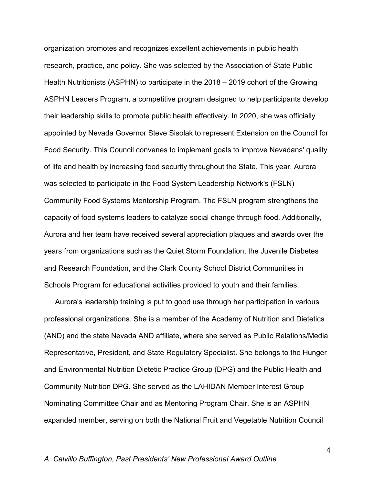organization promotes and recognizes excellent achievements in public health research, practice, and policy. She was selected by the Association of State Public Health Nutritionists (ASPHN) to participate in the 2018 – 2019 cohort of the Growing ASPHN Leaders Program, a competitive program designed to help participants develop their leadership skills to promote public health effectively. In 2020, she was officially appointed by Nevada Governor Steve Sisolak to represent Extension on the Council for Food Security. This Council convenes to implement goals to improve Nevadans' quality of life and health by increasing food security throughout the State. This year, Aurora was selected to participate in the Food System Leadership Network's (FSLN) Community Food Systems Mentorship Program. The FSLN program strengthens the capacity of food systems leaders to catalyze social change through food. Additionally, Aurora and her team have received several appreciation plaques and awards over the years from organizations such as the Quiet Storm Foundation, the Juvenile Diabetes and Research Foundation, and the Clark County School District Communities in Schools Program for educational activities provided to youth and their families.

Aurora's leadership training is put to good use through her participation in various professional organizations. She is a member of the Academy of Nutrition and Dietetics (AND) and the state Nevada AND affiliate, where she served as Public Relations/Media Representative, President, and State Regulatory Specialist. She belongs to the Hunger and Environmental Nutrition Dietetic Practice Group (DPG) and the Public Health and Community Nutrition DPG. She served as the LAHIDAN Member Interest Group Nominating Committee Chair and as Mentoring Program Chair. She is an ASPHN expanded member, serving on both the National Fruit and Vegetable Nutrition Council

## *A. Calvillo Buffington, Past Presidents' New Professional Award Outline*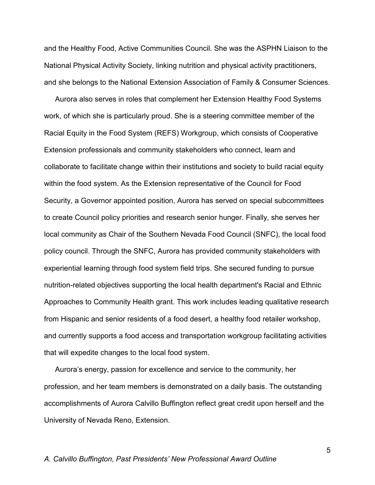and the Healthy Food, Active Communities Council. She was the ASPHN Liaison to the National Physical Activity Society, linking nutrition and physical activity practitioners, and she belongs to the National Extension Association of Family & Consumer Sciences.

Aurora also serves in roles that complement her Extension Healthy Food Systems work, of which she is particularly proud. She is a steering committee member of the Racial Equity in the Food System (REFS) Workgroup, which consists of Cooperative Extension professionals and community stakeholders who connect, learn and collaborate to facilitate change within their institutions and society to build racial equity within the food system. As the Extension representative of the Council for Food Security, a Governor appointed position, Aurora has served on special subcommittees to create Council policy priorities and research senior hunger. Finally, she serves her local community as Chair of the Southern Nevada Food Council (SNFC), the local food policy council. Through the SNFC, Aurora has provided community stakeholders with experiential learning through food system field trips. She secured funding to pursue nutrition-related objectives supporting the local health department's Racial and Ethnic Approaches to Community Health grant. This work includes leading qualitative research from Hispanic and senior residents of a food desert, a healthy food retailer workshop, and currently supports a food access and transportation workgroup facilitating activities that will expedite changes to the local food system.

Aurora's energy, passion for excellence and service to the community, her profession, and her team members is demonstrated on a daily basis. The outstanding accomplishments of Aurora Calvillo Buffington reflect great credit upon herself and the University of Nevada Reno, Extension.

#### *A. Calvillo Buffington, Past Presidents' New Professional Award Outline*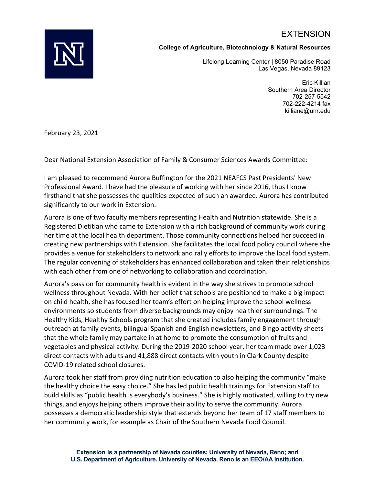# EXTENSION



### **College of Agriculture, Biotechnology & Natural Resources**

Lifelong Learning Center | 8050 Paradise Road Las Vegas, Nevada 89123

> Eric Killian Southern Area Director 702-257-5542 702-222-4214 fax killiane@unr.edu

February 23, 2021

Dear National Extension Association of Family & Consumer Sciences Awards Committee:

I am pleased to recommend Aurora Buffington for the 2021 NEAFCS Past Presidents' New Professional Award. I have had the pleasure of working with her since 2016, thus I know firsthand that she possesses the qualities expected of such an awardee. Aurora has contributed significantly to our work in Extension.

Aurora is one of two faculty members representing Health and Nutrition statewide. She is a Registered Dietitian who came to Extension with a rich background of community work during her time at the local health department. Those community connections helped her succeed in creating new partnerships with Extension. She facilitates the local food policy council where she provides a venue for stakeholders to network and rally efforts to improve the local food system. The regular convening of stakeholders has enhanced collaboration and taken their relationships with each other from one of networking to collaboration and coordination.

Aurora's passion for community health is evident in the way she strives to promote school wellness throughout Nevada. With her belief that schools are positioned to make a big impact on child health, she has focused her team's effort on helping improve the school wellness environments so students from diverse backgrounds may enjoy healthier surroundings. The Healthy Kids, Healthy Schools program that she created includes family engagement through outreach at family events, bilingual Spanish and English newsletters, and Bingo activity sheets that the whole family may partake in at home to promote the consumption of fruits and vegetables and physical activity. During the 2019-2020 school year, her team made over 1,023 direct contacts with adults and 41,888 direct contacts with youth in Clark County despite COVID-19 related school closures.

Aurora took her staff from providing nutrition education to also helping the community "make the healthy choice the easy choice." She has led public health trainings for Extension staff to build skills as "public health is everybody's business." She is highly motivated, willing to try new things, and enjoys helping others improve their ability to serve the community. Aurora possesses a democratic leadership style that extends beyond her team of 17 staff members to her community work, for example as Chair of the Southern Nevada Food Council.